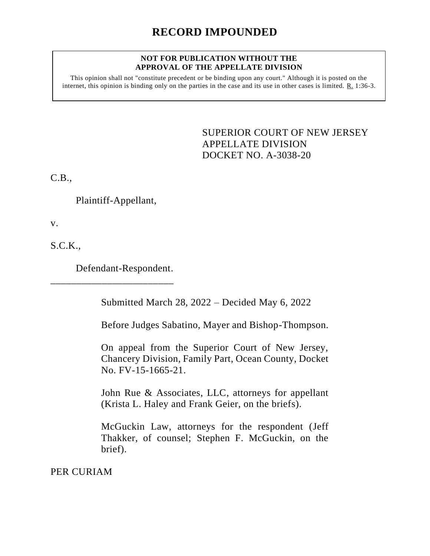# **RECORD IMPOUNDED**

#### **NOT FOR PUBLICATION WITHOUT THE APPROVAL OF THE APPELLATE DIVISION**

This opinion shall not "constitute precedent or be binding upon any court." Although it is posted on the internet, this opinion is binding only on the parties in the case and its use in other cases is limited. R. 1:36-3.

> SUPERIOR COURT OF NEW JERSEY APPELLATE DIVISION DOCKET NO. A-3038-20

C.B.,

Plaintiff-Appellant,

v.

S.C.K.,

Defendant-Respondent.

\_\_\_\_\_\_\_\_\_\_\_\_\_\_\_\_\_\_\_\_\_\_\_\_

Submitted March 28, 2022 – Decided May 6, 2022

Before Judges Sabatino, Mayer and Bishop-Thompson.

On appeal from the Superior Court of New Jersey, Chancery Division, Family Part, Ocean County, Docket No. FV-15-1665-21.

John Rue & Associates, LLC, attorneys for appellant (Krista L. Haley and Frank Geier, on the briefs).

McGuckin Law, attorneys for the respondent (Jeff Thakker, of counsel; Stephen F. McGuckin, on the brief).

PER CURIAM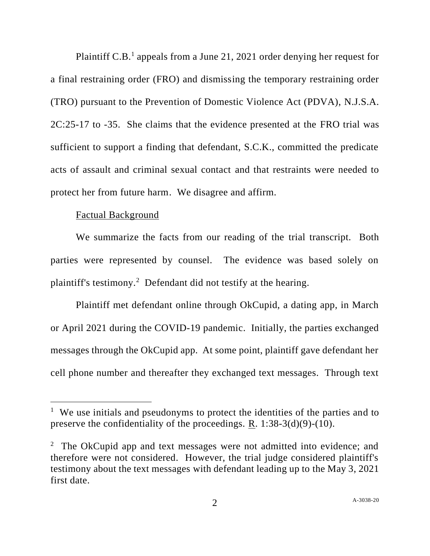Plaintiff C.B.<sup>1</sup> appeals from a June 21, 2021 order denying her request for a final restraining order (FRO) and dismissing the temporary restraining order (TRO) pursuant to the Prevention of Domestic Violence Act (PDVA), N.J.S.A. 2C:25-17 to -35. She claims that the evidence presented at the FRO trial was sufficient to support a finding that defendant, S.C.K., committed the predicate acts of assault and criminal sexual contact and that restraints were needed to protect her from future harm. We disagree and affirm.

### Factual Background

We summarize the facts from our reading of the trial transcript. Both parties were represented by counsel. The evidence was based solely on plaintiff's testimony.<sup>2</sup> Defendant did not testify at the hearing.

Plaintiff met defendant online through OkCupid, a dating app, in March or April 2021 during the COVID-19 pandemic. Initially, the parties exchanged messages through the OkCupid app. At some point, plaintiff gave defendant her cell phone number and thereafter they exchanged text messages. Through text

<sup>&</sup>lt;sup>1</sup> We use initials and pseudonyms to protect the identities of the parties and to preserve the confidentiality of the proceedings. R. 1:38-3(d)(9)-(10).

<sup>&</sup>lt;sup>2</sup> The OkCupid app and text messages were not admitted into evidence; and therefore were not considered. However, the trial judge considered plaintiff's testimony about the text messages with defendant leading up to the May 3, 2021 first date.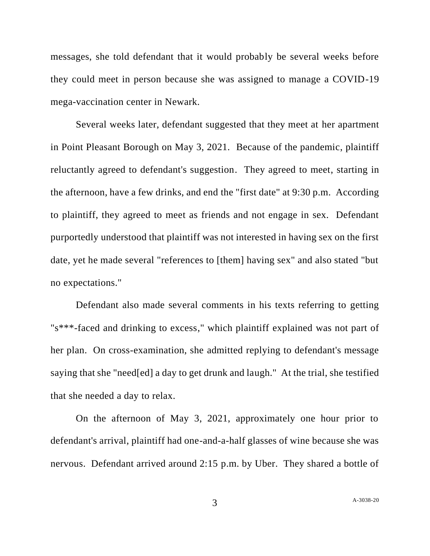messages, she told defendant that it would probably be several weeks before they could meet in person because she was assigned to manage a COVID-19 mega-vaccination center in Newark.

Several weeks later, defendant suggested that they meet at her apartment in Point Pleasant Borough on May 3, 2021. Because of the pandemic, plaintiff reluctantly agreed to defendant's suggestion. They agreed to meet, starting in the afternoon, have a few drinks, and end the "first date" at 9:30 p.m. According to plaintiff, they agreed to meet as friends and not engage in sex. Defendant purportedly understood that plaintiff was not interested in having sex on the first date, yet he made several "references to [them] having sex" and also stated "but no expectations."

Defendant also made several comments in his texts referring to getting "s\*\*\*-faced and drinking to excess," which plaintiff explained was not part of her plan. On cross-examination, she admitted replying to defendant's message saying that she "need[ed] a day to get drunk and laugh." At the trial, she testified that she needed a day to relax.

On the afternoon of May 3, 2021, approximately one hour prior to defendant's arrival, plaintiff had one-and-a-half glasses of wine because she was nervous. Defendant arrived around 2:15 p.m. by Uber. They shared a bottle of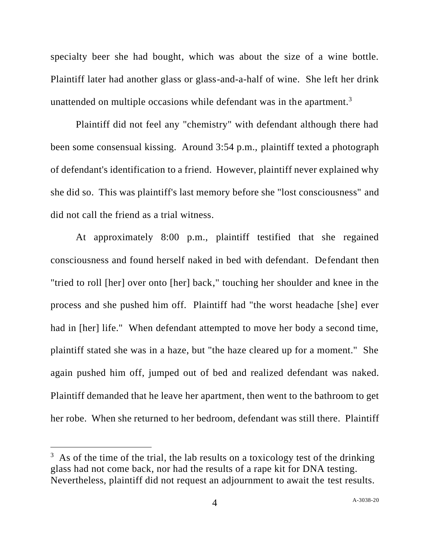specialty beer she had bought, which was about the size of a wine bottle. Plaintiff later had another glass or glass-and-a-half of wine. She left her drink unattended on multiple occasions while defendant was in the apartment.<sup>3</sup>

Plaintiff did not feel any "chemistry" with defendant although there had been some consensual kissing. Around 3:54 p.m., plaintiff texted a photograph of defendant's identification to a friend. However, plaintiff never explained why she did so. This was plaintiff's last memory before she "lost consciousness" and did not call the friend as a trial witness.

At approximately 8:00 p.m., plaintiff testified that she regained consciousness and found herself naked in bed with defendant. Defendant then "tried to roll [her] over onto [her] back," touching her shoulder and knee in the process and she pushed him off. Plaintiff had "the worst headache [she] ever had in [her] life." When defendant attempted to move her body a second time, plaintiff stated she was in a haze, but "the haze cleared up for a moment." She again pushed him off, jumped out of bed and realized defendant was naked. Plaintiff demanded that he leave her apartment, then went to the bathroom to get her robe. When she returned to her bedroom, defendant was still there. Plaintiff

 $3\text{ As}$  of the time of the trial, the lab results on a toxicology test of the drinking glass had not come back, nor had the results of a rape kit for DNA testing. Nevertheless, plaintiff did not request an adjournment to await the test results.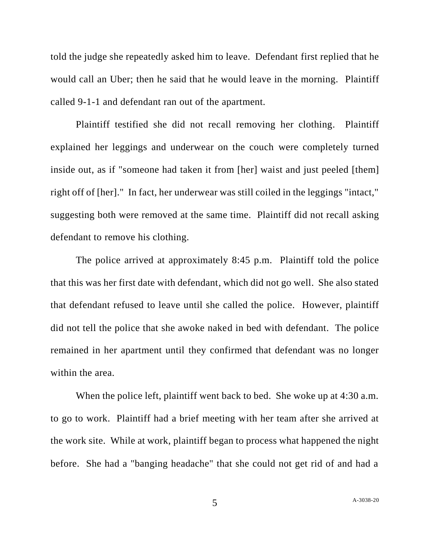told the judge she repeatedly asked him to leave. Defendant first replied that he would call an Uber; then he said that he would leave in the morning. Plaintiff called 9-1-1 and defendant ran out of the apartment.

Plaintiff testified she did not recall removing her clothing. Plaintiff explained her leggings and underwear on the couch were completely turned inside out, as if "someone had taken it from [her] waist and just peeled [them] right off of [her]." In fact, her underwear was still coiled in the leggings "intact," suggesting both were removed at the same time. Plaintiff did not recall asking defendant to remove his clothing.

The police arrived at approximately 8:45 p.m. Plaintiff told the police that this was her first date with defendant, which did not go well. She also stated that defendant refused to leave until she called the police. However, plaintiff did not tell the police that she awoke naked in bed with defendant. The police remained in her apartment until they confirmed that defendant was no longer within the area.

When the police left, plaintiff went back to bed. She woke up at 4:30 a.m. to go to work. Plaintiff had a brief meeting with her team after she arrived at the work site. While at work, plaintiff began to process what happened the night before. She had a "banging headache" that she could not get rid of and had a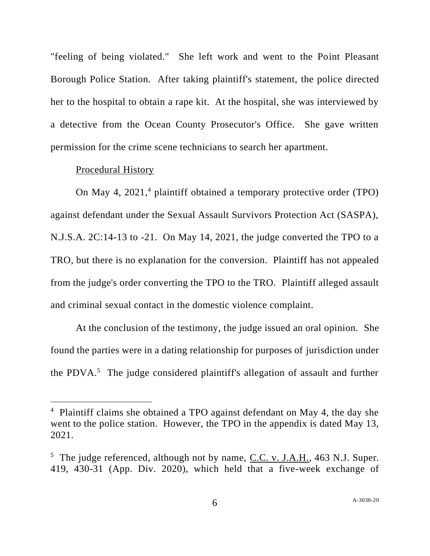"feeling of being violated." She left work and went to the Point Pleasant Borough Police Station. After taking plaintiff's statement, the police directed her to the hospital to obtain a rape kit. At the hospital, she was interviewed by a detective from the Ocean County Prosecutor's Office. She gave written permission for the crime scene technicians to search her apartment.

# Procedural History

On May 4, 2021, <sup>4</sup> plaintiff obtained a temporary protective order (TPO) against defendant under the Sexual Assault Survivors Protection Act (SASPA), N.J.S.A. 2C:14-13 to -21. On May 14, 2021, the judge converted the TPO to a TRO, but there is no explanation for the conversion. Plaintiff has not appealed from the judge's order converting the TPO to the TRO. Plaintiff alleged assault and criminal sexual contact in the domestic violence complaint.

At the conclusion of the testimony, the judge issued an oral opinion. She found the parties were in a dating relationship for purposes of jurisdiction under the PDVA. $5$  The judge considered plaintiff's allegation of assault and further

<sup>4</sup> Plaintiff claims she obtained a TPO against defendant on May 4, the day she went to the police station. However, the TPO in the appendix is dated May 13, 2021.

<sup>&</sup>lt;sup>5</sup> The judge referenced, although not by name, C.C. v. J.A.H., 463 N.J. Super. 419, 430-31 (App. Div. 2020), which held that a five-week exchange of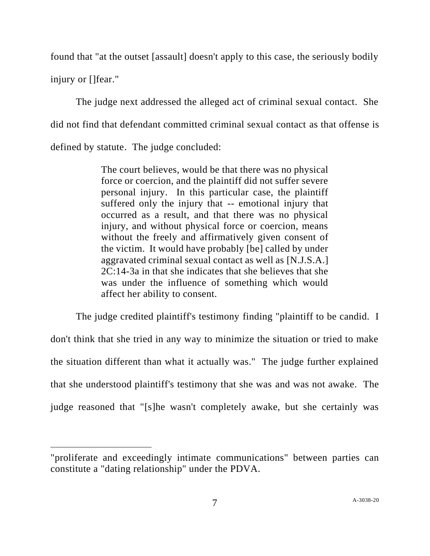found that "at the outset [assault] doesn't apply to this case, the seriously bodily injury or []fear."

The judge next addressed the alleged act of criminal sexual contact. She did not find that defendant committed criminal sexual contact as that offense is defined by statute. The judge concluded:

> The court believes, would be that there was no physical force or coercion, and the plaintiff did not suffer severe personal injury. In this particular case, the plaintiff suffered only the injury that -- emotional injury that occurred as a result, and that there was no physical injury, and without physical force or coercion, means without the freely and affirmatively given consent of the victim. It would have probably [be] called by under aggravated criminal sexual contact as well as [N.J.S.A.] 2C:14-3a in that she indicates that she believes that she was under the influence of something which would affect her ability to consent.

The judge credited plaintiff's testimony finding "plaintiff to be candid. I don't think that she tried in any way to minimize the situation or tried to make the situation different than what it actually was." The judge further explained that she understood plaintiff's testimony that she was and was not awake. The judge reasoned that "[s]he wasn't completely awake, but she certainly was

<sup>&</sup>quot;proliferate and exceedingly intimate communications" between parties can constitute a "dating relationship" under the PDVA.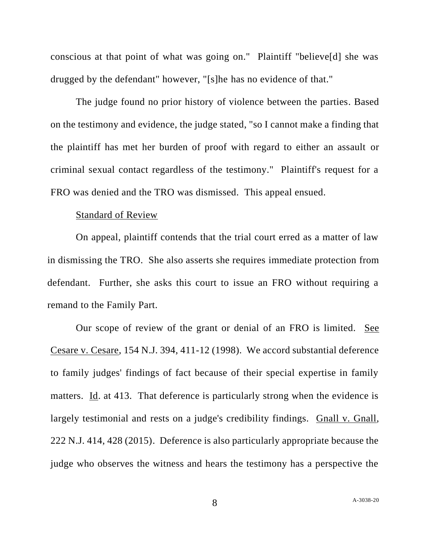conscious at that point of what was going on." Plaintiff "believe[d] she was drugged by the defendant" however, "[s]he has no evidence of that."

The judge found no prior history of violence between the parties. Based on the testimony and evidence, the judge stated, "so I cannot make a finding that the plaintiff has met her burden of proof with regard to either an assault or criminal sexual contact regardless of the testimony." Plaintiff's request for a FRO was denied and the TRO was dismissed. This appeal ensued.

#### Standard of Review

On appeal, plaintiff contends that the trial court erred as a matter of law in dismissing the TRO. She also asserts she requires immediate protection from defendant. Further, she asks this court to issue an FRO without requiring a remand to the Family Part.

Our scope of review of the grant or denial of an FRO is limited. See Cesare v. Cesare, 154 N.J. 394, 411-12 (1998). We accord substantial deference to family judges' findings of fact because of their special expertise in family matters. Id. at 413. That deference is particularly strong when the evidence is largely testimonial and rests on a judge's credibility findings. Gnall v. Gnall, 222 N.J. 414, 428 (2015). Deference is also particularly appropriate because the judge who observes the witness and hears the testimony has a perspective the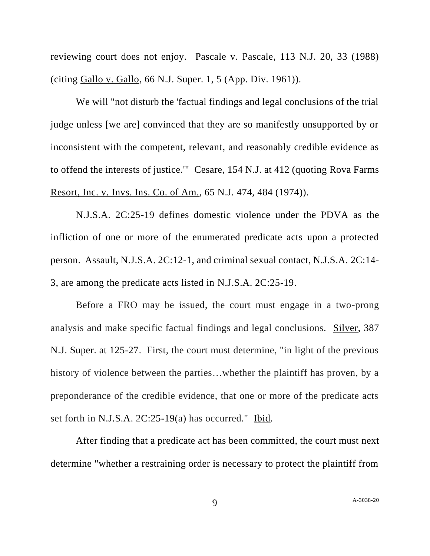reviewing court does not enjoy. Pascale v. Pascale, 113 N.J. 20, 33 (1988) (citing Gallo v. Gallo, 66 N.J. Super. 1, 5 (App. Div. 1961)).

We will "not disturb the 'factual findings and legal conclusions of the trial judge unless [we are] convinced that they are so manifestly unsupported by or inconsistent with the competent, relevant, and reasonably credible evidence as to offend the interests of justice.'" Cesare, 154 N.J. at 412 (quoting Rova Farms Resort, Inc. v. Invs. Ins. Co. of Am., 65 N.J. 474, 484 (1974)).

N.J.S.A. 2C:25-19 defines domestic violence under the PDVA as the infliction of one or more of the enumerated predicate acts upon a protected person. Assault, N.J.S.A. 2C:12-1, and criminal sexual contact, N.J.S.A. 2C:14- 3, are among the predicate acts listed in N.J.S.A. 2C:25-19.

Before a FRO may be issued, the court must engage in a two-prong analysis and make specific factual findings and legal conclusions. Silver, 387 N.J. Super. at 125-27. First, the court must determine, "in light of the previous history of violence between the parties...whether the plaintiff has proven, by a preponderance of the credible evidence, that one or more of the predicate acts set forth in N.J.S.A. 2C:25-19(a) has occurred." Ibid*.*

After finding that a predicate act has been committed, the court must next determine "whether a restraining order is necessary to protect the plaintiff from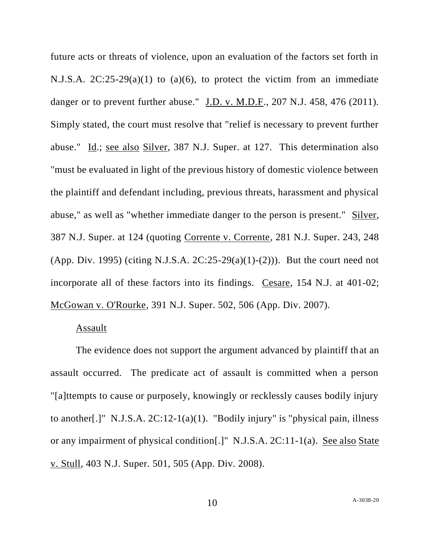future acts or threats of violence, upon an evaluation of the factors set forth in N.J.S.A.  $2C:25-29(a)(1)$  to  $(a)(6)$ , to protect the victim from an immediate danger or to prevent further abuse." J.D. v. M.D.F., 207 N.J. 458, 476 (2011). Simply stated, the court must resolve that "relief is necessary to prevent further abuse." Id.; see also Silver, 387 N.J. Super. at 127. This determination also "must be evaluated in light of the previous history of domestic violence between the plaintiff and defendant including, previous threats, harassment and physical abuse," as well as "whether immediate danger to the person is present." Silver, 387 N.J. Super. at 124 (quoting Corrente v. Corrente, 281 N.J. Super. 243, 248 (App. Div. 1995) (citing N.J.S.A.  $2C:25-29(a)(1)-(2))$ ). But the court need not incorporate all of these factors into its findings. Cesare, 154 N.J. at 401-02; McGowan v. O'Rourke, 391 N.J. Super. 502, 506 (App. Div. 2007).

# Assault

The evidence does not support the argument advanced by plaintiff that an assault occurred. The predicate act of assault is committed when a person "[a]ttempts to cause or purposely, knowingly or recklessly causes bodily injury to another[.]" N.J.S.A.  $2C:12-1(a)(1)$ . "Bodily injury" is "physical pain, illness or any impairment of physical condition[.]" N.J.S.A. 2C:11-1(a). See also State v. Stull, 403 N.J. Super. 501, 505 (App. Div. 2008).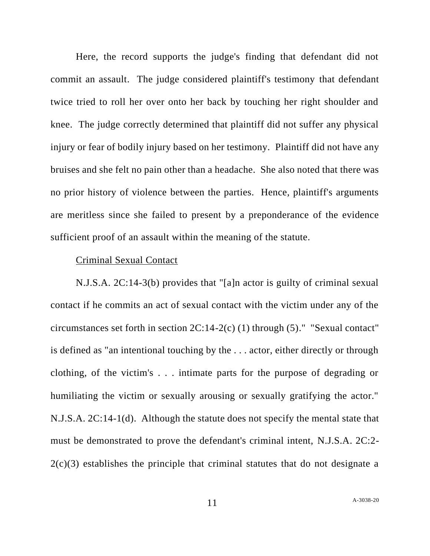Here, the record supports the judge's finding that defendant did not commit an assault. The judge considered plaintiff's testimony that defendant twice tried to roll her over onto her back by touching her right shoulder and knee. The judge correctly determined that plaintiff did not suffer any physical injury or fear of bodily injury based on her testimony. Plaintiff did not have any bruises and she felt no pain other than a headache. She also noted that there was no prior history of violence between the parties. Hence, plaintiff's arguments are meritless since she failed to present by a preponderance of the evidence sufficient proof of an assault within the meaning of the statute.

# Criminal Sexual Contact

N.J.S.A. 2C:14-3(b) provides that "[a]n actor is guilty of criminal sexual contact if he commits an act of sexual contact with the victim under any of the circumstances set forth in section 2C:14-2(c) (1) through (5)." "Sexual contact" is defined as "an intentional touching by the . . . actor, either directly or through clothing, of the victim's . . . intimate parts for the purpose of degrading or humiliating the victim or sexually arousing or sexually gratifying the actor." N.J.S.A. 2C:14-1(d). Although the statute does not specify the mental state that must be demonstrated to prove the defendant's criminal intent, N.J.S.A. 2C:2- 2(c)(3) establishes the principle that criminal statutes that do not designate a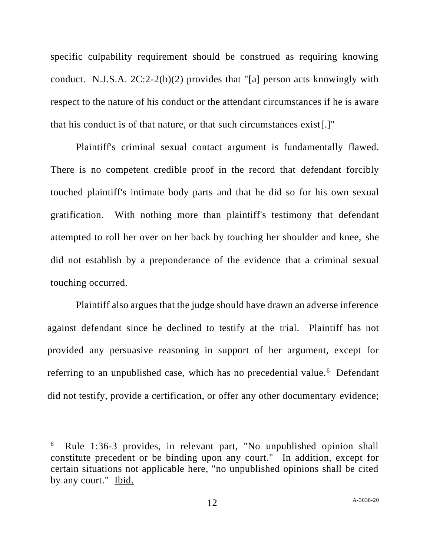specific culpability requirement should be construed as requiring knowing conduct. N.J.S.A.  $2C:2-2(b)(2)$  provides that "[a] person acts knowingly with respect to the nature of his conduct or the attendant circumstances if he is aware that his conduct is of that nature, or that such circumstances exist[.]"

Plaintiff's criminal sexual contact argument is fundamentally flawed. There is no competent credible proof in the record that defendant forcibly touched plaintiff's intimate body parts and that he did so for his own sexual gratification. With nothing more than plaintiff's testimony that defendant attempted to roll her over on her back by touching her shoulder and knee, she did not establish by a preponderance of the evidence that a criminal sexual touching occurred.

Plaintiff also argues that the judge should have drawn an adverse inference against defendant since he declined to testify at the trial. Plaintiff has not provided any persuasive reasoning in support of her argument, except for referring to an unpublished case, which has no precedential value.<sup>6</sup> Defendant did not testify, provide a certification, or offer any other documentary evidence;

<sup>6</sup> Rule 1:36-3 provides, in relevant part, "No unpublished opinion shall constitute precedent or be binding upon any court." In addition, except for certain situations not applicable here, "no unpublished opinions shall be cited by any court." Ibid.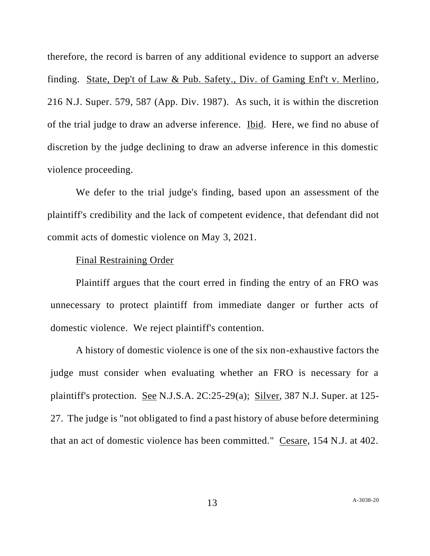therefore, the record is barren of any additional evidence to support an adverse finding. State, Dep't of Law & Pub. Safety., Div. of Gaming Enf't v. Merlino, 216 N.J. Super. 579, 587 (App. Div. 1987). As such, it is within the discretion of the trial judge to draw an adverse inference. Ibid. Here, we find no abuse of discretion by the judge declining to draw an adverse inference in this domestic violence proceeding.

We defer to the trial judge's finding, based upon an assessment of the plaintiff's credibility and the lack of competent evidence, that defendant did not commit acts of domestic violence on May 3, 2021.

# Final Restraining Order

Plaintiff argues that the court erred in finding the entry of an FRO was unnecessary to protect plaintiff from immediate danger or further acts of domestic violence. We reject plaintiff's contention.

A history of domestic violence is one of the six non-exhaustive factors the judge must consider when evaluating whether an FRO is necessary for a plaintiff's protection. See N.J.S.A. 2C:25-29(a); Silver, 387 N.J. Super. at 125- 27. The judge is "not obligated to find a past history of abuse before determining that an act of domestic violence has been committed." Cesare, 154 N.J. at 402.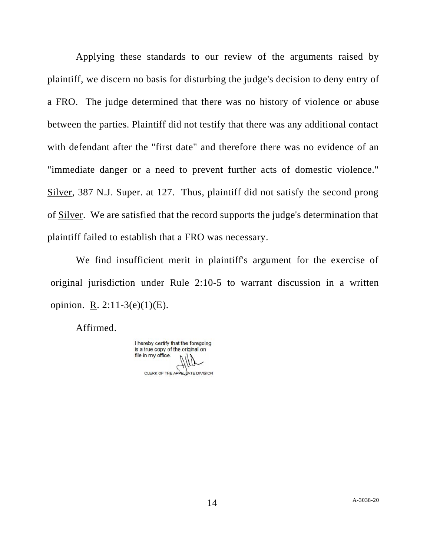Applying these standards to our review of the arguments raised by plaintiff, we discern no basis for disturbing the judge's decision to deny entry of a FRO. The judge determined that there was no history of violence or abuse between the parties. Plaintiff did not testify that there was any additional contact with defendant after the "first date" and therefore there was no evidence of an "immediate danger or a need to prevent further acts of domestic violence." Silver, 387 N.J. Super. at 127. Thus, plaintiff did not satisfy the second prong of Silver. We are satisfied that the record supports the judge's determination that plaintiff failed to establish that a FRO was necessary.

We find insufficient merit in plaintiff's argument for the exercise of original jurisdiction under Rule 2:10-5 to warrant discussion in a written opinion. R. 2:11-3(e)(1)(E).

Affirmed.

I hereby certify that the foregoing is a true copy of the original on file in my office. CLERK OF THE APPELLATE DIVISION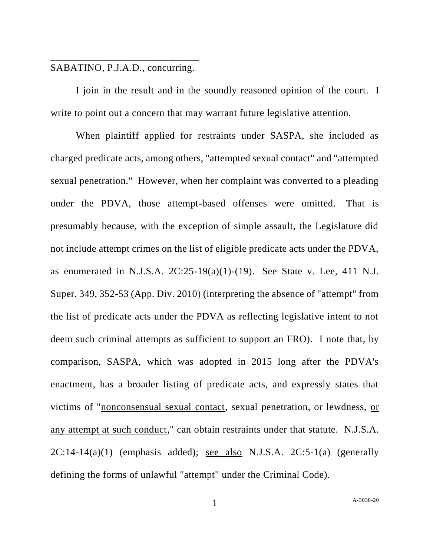# \_\_\_\_\_\_\_\_\_\_\_\_\_\_\_\_\_\_\_\_\_\_\_\_\_\_\_\_\_ SABATINO, P.J.A.D., concurring.

I join in the result and in the soundly reasoned opinion of the court. I write to point out a concern that may warrant future legislative attention.

When plaintiff applied for restraints under SASPA, she included as charged predicate acts, among others, "attempted sexual contact" and "attempted sexual penetration." However, when her complaint was converted to a pleading under the PDVA, those attempt-based offenses were omitted. That is presumably because, with the exception of simple assault, the Legislature did not include attempt crimes on the list of eligible predicate acts under the PDVA, as enumerated in N.J.S.A.  $2C:25-19(a)(1)-(19)$ . See State v. Lee, 411 N.J. Super. 349, 352-53 (App. Div. 2010) (interpreting the absence of "attempt" from the list of predicate acts under the PDVA as reflecting legislative intent to not deem such criminal attempts as sufficient to support an FRO). I note that, by comparison, SASPA, which was adopted in 2015 long after the PDVA's enactment, has a broader listing of predicate acts, and expressly states that victims of "nonconsensual sexual contact, sexual penetration, or lewdness, or any attempt at such conduct," can obtain restraints under that statute. N.J.S.A.  $2C:14-14(a)(1)$  (emphasis added); see also N.J.S.A.  $2C:5-1(a)$  (generally defining the forms of unlawful "attempt" under the Criminal Code).

1